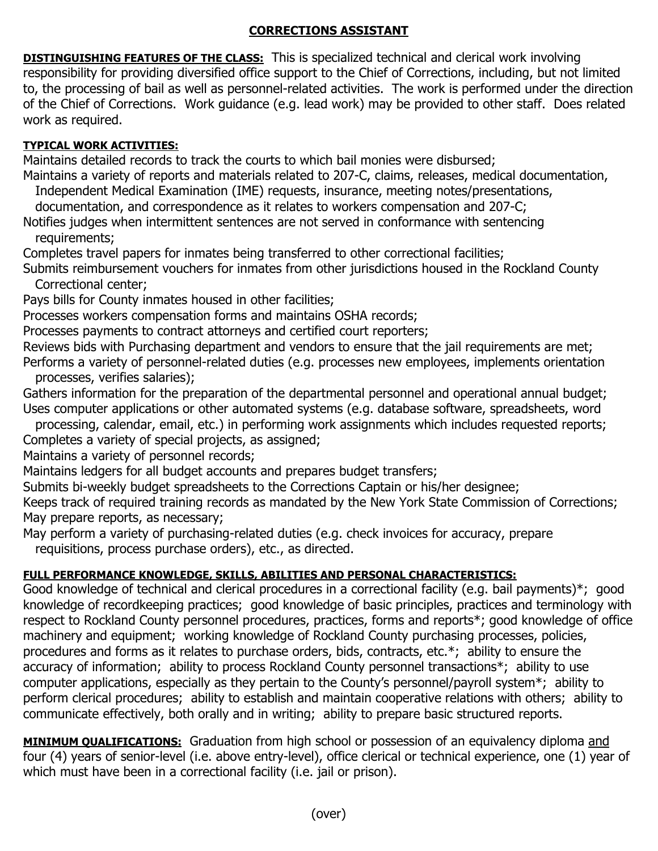## **CORRECTIONS ASSISTANT**

**DISTINGUISHING FEATURES OF THE CLASS:** This is specialized technical and clerical work involving responsibility for providing diversified office support to the Chief of Corrections, including, but not limited to, the processing of bail as well as personnel-related activities. The work is performed under the direction of the Chief of Corrections. Work guidance (e.g. lead work) may be provided to other staff. Does related work as required.

## **TYPICAL WORK ACTIVITIES:**

Maintains detailed records to track the courts to which bail monies were disbursed;

Maintains a variety of reports and materials related to 207-C, claims, releases, medical documentation,

Independent Medical Examination (IME) requests, insurance, meeting notes/presentations,

documentation, and correspondence as it relates to workers compensation and 207-C;

Notifies judges when intermittent sentences are not served in conformance with sentencing requirements;

Completes travel papers for inmates being transferred to other correctional facilities;

Submits reimbursement vouchers for inmates from other jurisdictions housed in the Rockland County Correctional center;

Pays bills for County inmates housed in other facilities;

Processes workers compensation forms and maintains OSHA records;

Processes payments to contract attorneys and certified court reporters;

Reviews bids with Purchasing department and vendors to ensure that the jail requirements are met; Performs a variety of personnel-related duties (e.g. processes new employees, implements orientation processes, verifies salaries);

Gathers information for the preparation of the departmental personnel and operational annual budget; Uses computer applications or other automated systems (e.g. database software, spreadsheets, word

 processing, calendar, email, etc.) in performing work assignments which includes requested reports; Completes a variety of special projects, as assigned;

Maintains a variety of personnel records;

Maintains ledgers for all budget accounts and prepares budget transfers;

Submits bi-weekly budget spreadsheets to the Corrections Captain or his/her designee;

Keeps track of required training records as mandated by the New York State Commission of Corrections; May prepare reports, as necessary;

May perform a variety of purchasing-related duties (e.g. check invoices for accuracy, prepare requisitions, process purchase orders), etc., as directed.

## **FULL PERFORMANCE KNOWLEDGE, SKILLS, ABILITIES AND PERSONAL CHARACTERISTICS:**

Good knowledge of technical and clerical procedures in a correctional facility (e.g. bail payments)\*; good knowledge of recordkeeping practices; good knowledge of basic principles, practices and terminology with respect to Rockland County personnel procedures, practices, forms and reports\*; good knowledge of office machinery and equipment; working knowledge of Rockland County purchasing processes, policies, procedures and forms as it relates to purchase orders, bids, contracts, etc.\*; ability to ensure the accuracy of information; ability to process Rockland County personnel transactions\*; ability to use computer applications, especially as they pertain to the County's personnel/payroll system\*; ability to perform clerical procedures; ability to establish and maintain cooperative relations with others; ability to communicate effectively, both orally and in writing; ability to prepare basic structured reports.

**MINIMUM QUALIFICATIONS:** Graduation from high school or possession of an equivalency diploma and four (4) years of senior-level (i.e. above entry-level), office clerical or technical experience, one (1) year of which must have been in a correctional facility (i.e. jail or prison).